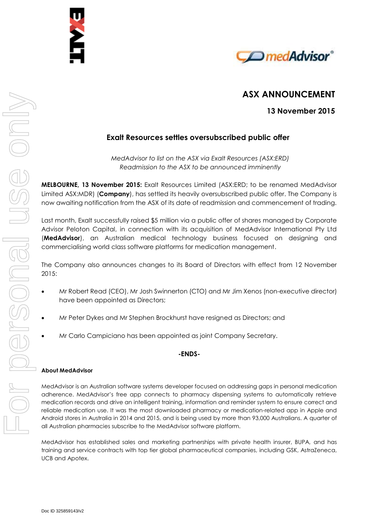



# **ASX ANNOUNCEMENT**

**13 November 2015**

## **Exalt Resources settles oversubscribed public offer**

*MedAdvisor to list on the ASX via Exalt Resources (ASX:ERD) Readmission to the ASX to be announced imminently*

**MELBOURNE, 13 November 2015:** Exalt Resources Limited (ASX:ERD; to be renamed MedAdvisor Limited ASX:MDR) (**Company**), has settled its heavily oversubscribed public offer. The Company is now awaiting notification from the ASX of its date of readmission and commencement of trading.

Last month, Exalt successfully raised \$5 million via a public offer of shares managed by Corporate Advisor Peloton Capital, in connection with its acquisition of MedAdvisor International Pty Ltd (**MedAdvisor**), an Australian medical technology business focused on designing and commercialising world class software platforms for medication management.

The Company also announces changes to its Board of Directors with effect from 12 November 2015:

- Mr Robert Read (CEO), Mr Josh Swinnerton (CTO) and Mr Jim Xenos (non-executive director) have been appointed as Directors;
- Mr Peter Dykes and Mr Stephen Brockhurst have resigned as Directors; and
- Mr Carlo Campiciano has been appointed as joint Company Secretary.

### **-ENDS-**

#### **About MedAdvisor**

MedAdvisor is an Australian software systems developer focused on addressing gaps in personal medication adherence. MedAdvisor's free app connects to pharmacy dispensing systems to automatically retrieve medication records and drive an intelligent training, information and reminder system to ensure correct and reliable medication use. It was the most downloaded pharmacy or medication-related app in Apple and Android stores in Australia in 2014 and 2015, and is being used by more than 93,000 Australians. A quarter of all Australian pharmacies subscribe to the MedAdvisor software platform.

MedAdvisor has established sales and marketing partnerships with private health insurer, BUPA, and has training and service contracts with top tier global pharmaceutical companies, including GSK, AstraZeneca, UCB and Apotex.